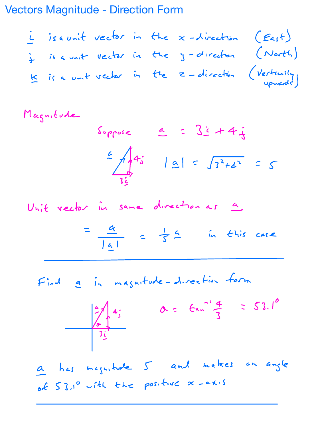Vectors Magnitude - Direction Form

I is <sup>a</sup> unit vector in the <sup>x</sup> direction East I is <sup>a</sup> unit vector in the <sup>y</sup> direction North <sup>E</sup> is <sup>a</sup> unit vector in the <sup>Z</sup> direction Vertically upwards

Magnitude

$$
Suppose \leq 32+4i
$$
  
\n $\leq \frac{1}{3i}$  |  $9| = \sqrt{3^{2}+4^{2}} = 5$ 

Unit vector in same direction as a

$$
=\frac{a}{|a|} = \frac{1}{s}a \quad \text{in this case}
$$

Find <sup>a</sup> in magnitude direction form



<sup>Q</sup> has magnitude <sup>5</sup> and makes an angle of  $53.1^{\circ}$  with the positive  $x = 2x \cdot s$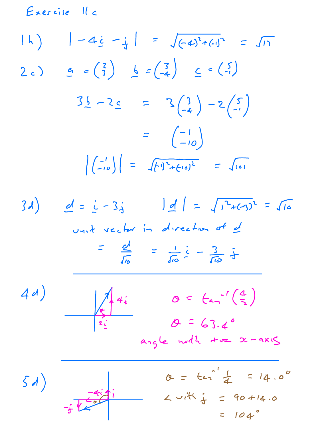Exercise 11c

$$
|h\rangle = 4\underline{\dot{\epsilon}} - \frac{\dot{\epsilon}}{3} = \sqrt{(-4)^2 + (-1)^2} = \sqrt{11}
$$
  
\n
$$
2c\rangle = (3) \quad \frac{1}{2} = (-\frac{3}{4}) \quad \frac{1}{2} = (-\frac{3}{4})
$$
  
\n
$$
3\underline{\dot{\epsilon}} - 2\underline{\epsilon} = 3(\frac{3}{4}) - 2(\frac{5}{4})
$$
  
\n
$$
= (-10)
$$
  
\n
$$
|(-10)| = \sqrt{[11^2 + (-10)^2]} = \sqrt{101}
$$



$$
a_{15}e \quad \text{with} \quad x = axs
$$

 $0 = 6a^{-1}\frac{1}{4} = 14.0^{\circ}$  $5d)$  $2vit$   $\frac{1}{3}$  = 90+14.0  $= 104°$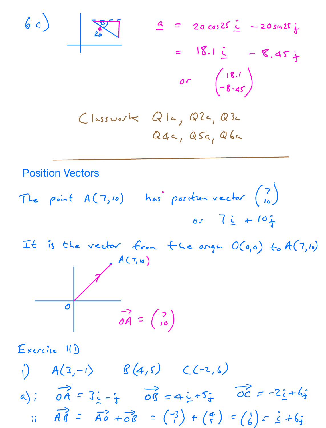



Exercic 11)  $A(3,-1)$   $B(4,5)$   $C(-2,6)$ a);  $\overrightarrow{OA} = 3\overrightarrow{C} - \frac{1}{1}$   $\overrightarrow{OC} = -2\overrightarrow{C} + 6\overrightarrow{j}$  $\pi$   $\overrightarrow{AB}$  =  $\overrightarrow{AB}$  +  $\overrightarrow{OB}$  =  $(\overrightarrow{1}) + (\overrightarrow{5}) = (\overrightarrow{6}) = \overrightarrow{6} + 6\overrightarrow{5}$